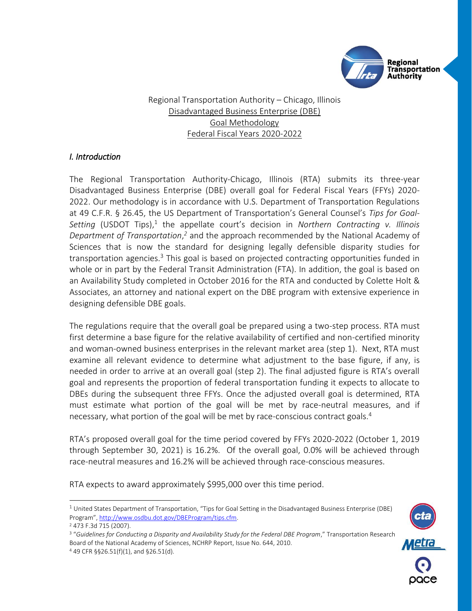

Regional Transportation Authority – Chicago, Illinois Disadvantaged Business Enterprise (DBE) Goal Methodology Federal Fiscal Years 2020-2022

# *I. Introduction*

The Regional Transportation Authority-Chicago, Illinois (RTA) submits its three-year Disadvantaged Business Enterprise (DBE) overall goal for Federal Fiscal Years (FFYs) 2020- 2022. Our methodology is in accordance with U.S. Department of Transportation Regulations at 49 C.F.R. § 26.45, the US Department of Transportation's General Counsel's *Tips for Goal-*Setting (USDOT Tips),<sup>1</sup> the appellate court's decision in *Northern Contracting v. Illinois* Department of Transportation,<sup>2</sup> and the approach recommended by the National Academy of Sciences that is now the standard for designing legally defensible disparity studies for transportation agencies.<sup>3</sup> This goal is based on projected contracting opportunities funded in whole or in part by the Federal Transit Administration (FTA). In addition, the goal is based on an Availability Study completed in October 2016 for the RTA and conducted by Colette Holt & Associates, an attorney and national expert on the DBE program with extensive experience in designing defensible DBE goals.

The regulations require that the overall goal be prepared using a two-step process. RTA must first determine a base figure for the relative availability of certified and non-certified minority and woman-owned business enterprises in the relevant market area (step 1). Next, RTA must examine all relevant evidence to determine what adjustment to the base figure, if any, is needed in order to arrive at an overall goal (step 2). The final adjusted figure is RTA's overall goal and represents the proportion of federal transportation funding it expects to allocate to DBEs during the subsequent three FFYs. Once the adjusted overall goal is determined, RTA must estimate what portion of the goal will be met by race-neutral measures, and if necessary, what portion of the goal will be met by race-conscious contract goals.<sup>4</sup>

RTA's proposed overall goal for the time period covered by FFYs 2020-2022 (October 1, 2019 through September 30, 2021) is 16.2%. Of the overall goal, 0.0% will be achieved through race-neutral measures and 16.2% will be achieved through race-conscious measures.

RTA expects to award approximately \$995,000 over this time period.

j

<sup>3</sup> "*Guidelines for Conducting a Disparity and Availability Study for the Federal DBE Program*," Transportation Research Board of the National Academy of Sciences, NCHRP Report, Issue No. 644, 2010. <sup>4</sup> 49 CFR §§26.51(f)(1), and §26.51(d).



 $1$  United States Department of Transportation, "Tips for Goal Setting in the Disadvantaged Business Enterprise (DBE) Program", [http://www.osdbu.dot.gov/DBEProgram/tips.cfm.](http://www.osdbu.dot.gov/DBEProgram/tips.cfm)

<sup>2</sup> 473 F.3d 715 (2007).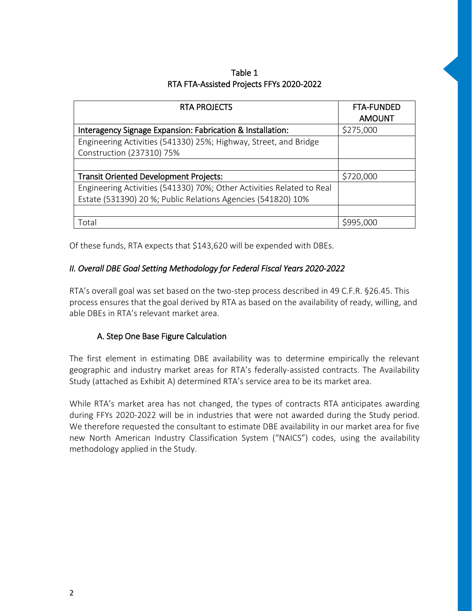| Table 1                                  |
|------------------------------------------|
| RTA FTA-Assisted Projects FFYs 2020-2022 |

| <b>RTA PROJECTS</b>                                                   | <b>FTA-FUNDED</b><br><b>AMOUNT</b> |
|-----------------------------------------------------------------------|------------------------------------|
| Interagency Signage Expansion: Fabrication & Installation:            | \$275,000                          |
| Engineering Activities (541330) 25%; Highway, Street, and Bridge      |                                    |
| Construction (237310) 75%                                             |                                    |
|                                                                       |                                    |
| <b>Transit Oriented Development Projects:</b>                         | \$720,000                          |
| Engineering Activities (541330) 70%; Other Activities Related to Real |                                    |
| Estate (531390) 20 %; Public Relations Agencies (541820) 10%          |                                    |
|                                                                       |                                    |
| Total                                                                 | \$995,000                          |

Of these funds, RTA expects that \$143,620 will be expended with DBEs.

# *II. Overall DBE Goal Setting Methodology for Federal Fiscal Years 2020-2022*

RTA's overall goal was set based on the two-step process described in 49 C.F.R. §26.45. This process ensures that the goal derived by RTA as based on the availability of ready, willing, and able DBEs in RTA's relevant market area.

### A. Step One Base Figure Calculation

The first element in estimating DBE availability was to determine empirically the relevant geographic and industry market areas for RTA's federally-assisted contracts. The Availability Study (attached as Exhibit A) determined RTA's service area to be its market area.

While RTA's market area has not changed, the types of contracts RTA anticipates awarding during FFYs 2020-2022 will be in industries that were not awarded during the Study period. We therefore requested the consultant to estimate DBE availability in our market area for five new North American Industry Classification System ("NAICS") codes, using the availability methodology applied in the Study.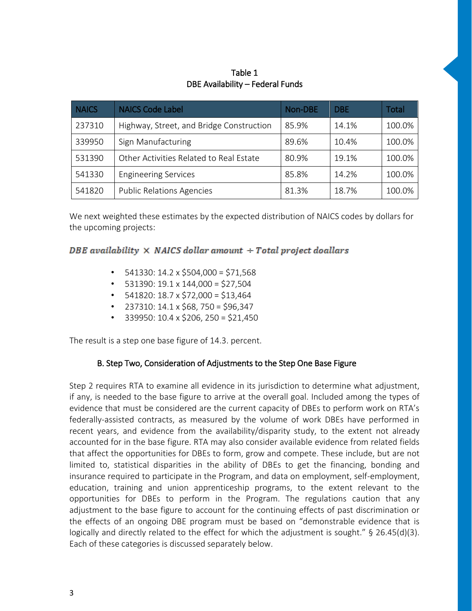# Table 1 DBE Availability – Federal Funds

| <b>NAICS</b> | <b>NAICS Code Label</b>                  | Non-DBE | <b>DBE</b> | Total  |
|--------------|------------------------------------------|---------|------------|--------|
| 237310       | Highway, Street, and Bridge Construction | 85.9%   | 14.1%      | 100.0% |
| 339950       | Sign Manufacturing                       | 89.6%   | 10.4%      | 100.0% |
| 531390       | Other Activities Related to Real Estate  | 80.9%   | 19.1%      | 100.0% |
| 541330       | <b>Engineering Services</b>              | 85.8%   | 14.2%      | 100.0% |
| 541820       | <b>Public Relations Agencies</b>         | 81.3%   | 18.7%      | 100.0% |

We next weighted these estimates by the expected distribution of NAICS codes by dollars for the upcoming projects:

# DBE availability  $\times$  NAICS dollar amount  $+$  Total project doallars

- $\cdot$  541330: 14.2 x \$504,000 = \$71,568
- $\cdot$  531390: 19.1 x 144,000 = \$27,504
- $\cdot$  541820: 18.7 x \$72,000 = \$13,464
- 237310: 14.1 x \$68, 750 = \$96,347
- 339950: 10.4 x \$206, 250 = \$21,450

The result is a step one base figure of 14.3. percent.

# B. Step Two, Consideration of Adjustments to the Step One Base Figure

Step 2 requires RTA to examine all evidence in its jurisdiction to determine what adjustment, if any, is needed to the base figure to arrive at the overall goal. Included among the types of evidence that must be considered are the current capacity of DBEs to perform work on RTA's federally-assisted contracts, as measured by the volume of work DBEs have performed in recent years, and evidence from the availability/disparity study, to the extent not already accounted for in the base figure. RTA may also consider available evidence from related fields that affect the opportunities for DBEs to form, grow and compete. These include, but are not limited to, statistical disparities in the ability of DBEs to get the financing, bonding and insurance required to participate in the Program, and data on employment, self-employment, education, training and union apprenticeship programs, to the extent relevant to the opportunities for DBEs to perform in the Program. The regulations caution that any adjustment to the base figure to account for the continuing effects of past discrimination or the effects of an ongoing DBE program must be based on "demonstrable evidence that is logically and directly related to the effect for which the adjustment is sought." § 26.45(d)(3). Each of these categories is discussed separately below.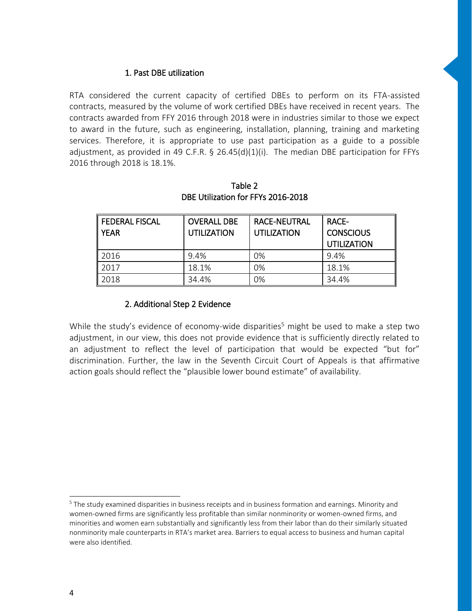#### 1. Past DBE utilization

RTA considered the current capacity of certified DBEs to perform on its FTA-assisted contracts, measured by the volume of work certified DBEs have received in recent years. The contracts awarded from FFY 2016 through 2018 were in industries similar to those we expect to award in the future, such as engineering, installation, planning, training and marketing services. Therefore, it is appropriate to use past participation as a guide to a possible adjustment, as provided in 49 C.F.R. § 26.45(d)(1)(i). The median DBE participation for FFYs 2016 through 2018 is 18.1%.

| <b>FEDERAL FISCAL</b><br><b>YEAR</b> | <b>OVERALL DBE</b><br>UTILIZATION | <b>RACE-NEUTRAL</b><br><b>UTILIZATION</b> | RACE-<br><b>CONSCIOUS</b><br><b>UTILIZATION</b> |
|--------------------------------------|-----------------------------------|-------------------------------------------|-------------------------------------------------|
| 2016                                 | 9.4%                              | 0%                                        | 9.4%                                            |
| 2017                                 | 18.1%                             | 0%                                        | 18.1%                                           |
| 2018                                 | 34.4%                             | 0%                                        | 34.4%                                           |

Table 2 DBE Utilization for FFYs 2016-2018

#### 2. Additional Step 2 Evidence

While the study's evidence of economy-wide disparities<sup>5</sup> might be used to make a step two adjustment, in our view, this does not provide evidence that is sufficiently directly related to an adjustment to reflect the level of participation that would be expected "but for" discrimination. Further, the law in the Seventh Circuit Court of Appeals is that affirmative action goals should reflect the "plausible lower bound estimate" of availability.

 $\overline{a}$ 

<sup>&</sup>lt;sup>5</sup> The study examined disparities in business receipts and in business formation and earnings. Minority and women-owned firms are significantly less profitable than similar nonminority or women-owned firms, and minorities and women earn substantially and significantly less from their labor than do their similarly situated nonminority male counterparts in RTA's market area. Barriers to equal access to business and human capital were also identified.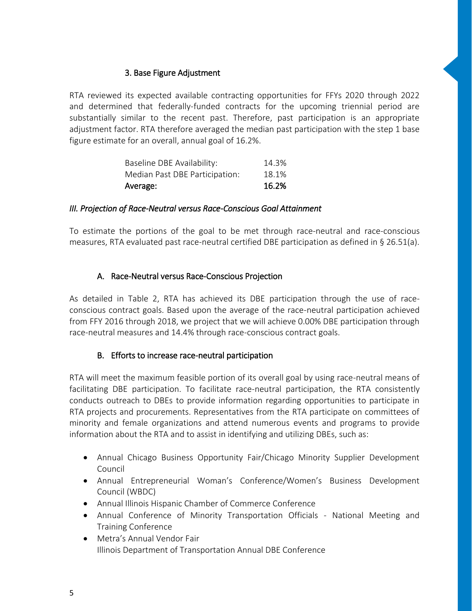## 3. Base Figure Adjustment

RTA reviewed its expected available contracting opportunities for FFYs 2020 through 2022 and determined that federally-funded contracts for the upcoming triennial period are substantially similar to the recent past. Therefore, past participation is an appropriate adjustment factor. RTA therefore averaged the median past participation with the step 1 base figure estimate for an overall, annual goal of 16.2%.

| Average:                       | 16.2% |
|--------------------------------|-------|
| Median Past DBE Participation: | 18.1% |
| Baseline DBE Availability:     | 14.3% |

#### *III. Projection of Race-Neutral versus Race-Conscious Goal Attainment*

To estimate the portions of the goal to be met through race-neutral and race-conscious measures, RTA evaluated past race-neutral certified DBE participation as defined in § 26.51(a).

### A. Race-Neutral versus Race-Conscious Projection

As detailed in Table 2, RTA has achieved its DBE participation through the use of raceconscious contract goals. Based upon the average of the race-neutral participation achieved from FFY 2016 through 2018, we project that we will achieve 0.00% DBE participation through race-neutral measures and 14.4% through race-conscious contract goals.

### B. Efforts to increase race-neutral participation

RTA will meet the maximum feasible portion of its overall goal by using race-neutral means of facilitating DBE participation. To facilitate race-neutral participation, the RTA consistently conducts outreach to DBEs to provide information regarding opportunities to participate in RTA projects and procurements. Representatives from the RTA participate on committees of minority and female organizations and attend numerous events and programs to provide information about the RTA and to assist in identifying and utilizing DBEs, such as:

- Annual Chicago Business Opportunity Fair/Chicago Minority Supplier Development Council
- Annual Entrepreneurial Woman's Conference/Women's Business Development Council (WBDC)
- Annual Illinois Hispanic Chamber of Commerce Conference
- Annual Conference of Minority Transportation Officials National Meeting and Training Conference
- Metra's Annual Vendor Fair Illinois Department of Transportation Annual DBE Conference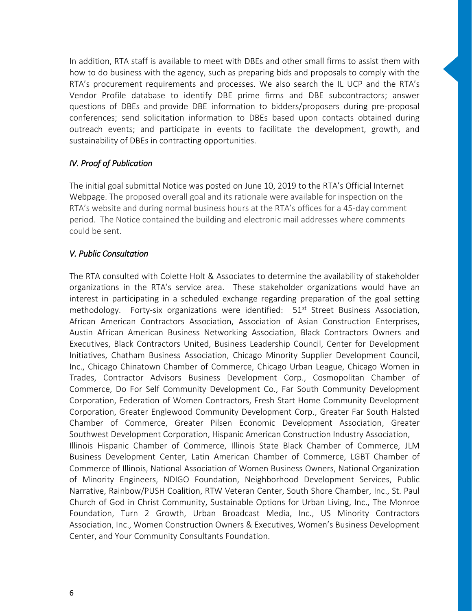In addition, RTA staff is available to meet with DBEs and other small firms to assist them with how to do business with the agency, such as preparing bids and proposals to comply with the RTA's procurement requirements and processes. We also search the IL UCP and the RTA's Vendor Profile database to identify DBE prime firms and DBE subcontractors; answer questions of DBEs and provide DBE information to bidders/proposers during pre-proposal conferences; send solicitation information to DBEs based upon contacts obtained during outreach events; and participate in events to facilitate the development, growth, and sustainability of DBEs in contracting opportunities.

# *IV. Proof of Publication*

The initial goal submittal Notice was posted on June 10, 2019 to the RTA's Official Internet Webpage. The proposed overall goal and its rationale were available for inspection on the RTA's website and during normal business hours at the RTA's offices for a 45-day comment period. The Notice contained the building and electronic mail addresses where comments could be sent.

### *V. Public Consultation*

The RTA consulted with Colette Holt & Associates to determine the availability of stakeholder organizations in the RTA's service area. These stakeholder organizations would have an interest in participating in a scheduled exchange regarding preparation of the goal setting methodology. Forty-six organizations were identified:  $51<sup>st</sup>$  Street Business Association, African American Contractors Association, Association of Asian Construction Enterprises, Austin African American Business Networking Association, Black Contractors Owners and Executives, Black Contractors United, Business Leadership Council, Center for Development Initiatives, Chatham Business Association, Chicago Minority Supplier Development Council, Inc., Chicago Chinatown Chamber of Commerce, Chicago Urban League, Chicago Women in Trades, Contractor Advisors Business Development Corp., Cosmopolitan Chamber of Commerce, Do For Self Community Development Co., Far South Community Development Corporation, Federation of Women Contractors, Fresh Start Home Community Development Corporation, Greater Englewood Community Development Corp., Greater Far South Halsted Chamber of Commerce, Greater Pilsen Economic Development Association, Greater Southwest Development Corporation, Hispanic American Construction Industry Association, Illinois Hispanic Chamber of Commerce, Illinois State Black Chamber of Commerce, JLM Business Development Center, Latin American Chamber of Commerce, LGBT Chamber of Commerce of Illinois, National Association of Women Business Owners, National Organization of Minority Engineers, NDIGO Foundation, Neighborhood Development Services, Public Narrative, Rainbow/PUSH Coalition, RTW Veteran Center, South Shore Chamber, Inc., St. Paul Church of God in Christ Community, Sustainable Options for Urban Living, Inc., The Monroe Foundation, Turn 2 Growth, Urban Broadcast Media, Inc., US Minority Contractors Association, Inc., Women Construction Owners & Executives, Women's Business Development Center, and Your Community Consultants Foundation.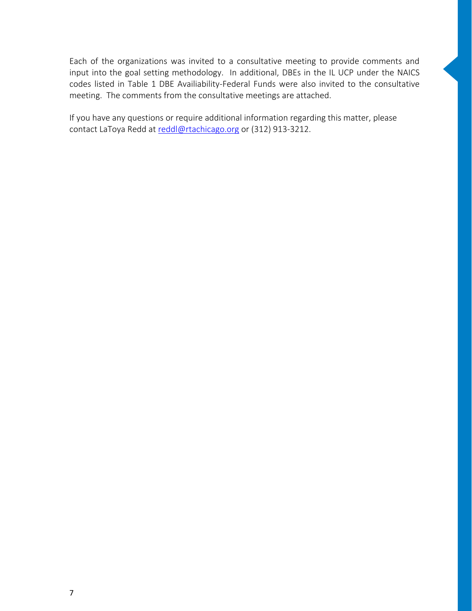Each of the organizations was invited to a consultative meeting to provide comments and input into the goal setting methodology. In additional, DBEs in the IL UCP under the NAICS codes listed in Table 1 DBE Availiability-Federal Funds were also invited to the consultative meeting. The comments from the consultative meetings are attached.

If you have any questions or require additional information regarding this matter, please contact LaToya Redd at [reddl@rtachicago.org](mailto:reddl@rtachicago.org) or (312) 913-3212.